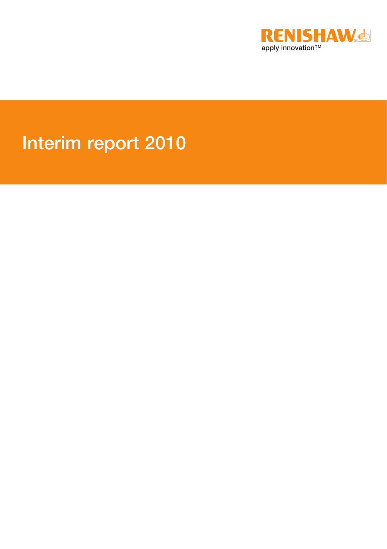

# Interim report 2010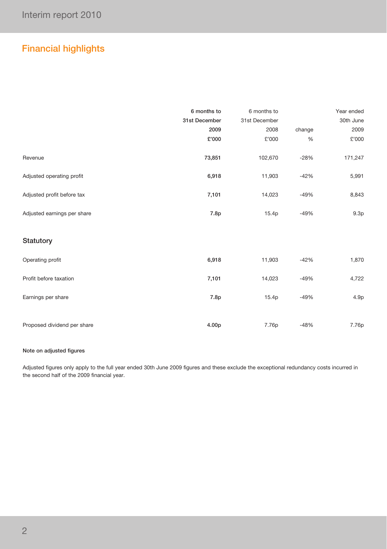## Financial highlights

|                             | 6 months to   | 6 months to   |        | Year ended       |
|-----------------------------|---------------|---------------|--------|------------------|
|                             | 31st December | 31st December |        | 30th June        |
|                             | 2009          | 2008          | change | 2009             |
|                             | £'000         | £'000         | $\%$   | £'000            |
| Revenue                     | 73,851        | 102,670       | $-28%$ | 171,247          |
| Adjusted operating profit   | 6,918         | 11,903        | $-42%$ | 5,991            |
| Adjusted profit before tax  | 7,101         | 14,023        | $-49%$ | 8,843            |
| Adjusted earnings per share | 7.8p          | 15.4p         | $-49%$ | 9.3 <sub>p</sub> |
| Statutory                   |               |               |        |                  |
| Operating profit            | 6,918         | 11,903        | $-42%$ | 1,870            |
| Profit before taxation      | 7,101         | 14,023        | $-49%$ | 4,722            |
| Earnings per share          | 7.8p          | 15.4p         | $-49%$ | 4.9 <sub>p</sub> |
| Proposed dividend per share | 4.00p         | 7.76p         | $-48%$ | 7.76p            |

#### Note on adjusted figures

Adjusted figures only apply to the full year ended 30th June 2009 figures and these exclude the exceptional redundancy costs incurred in the second half of the 2009 financial year.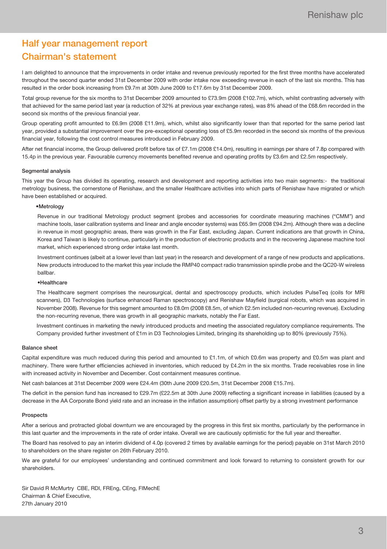## Half year management report Chairman's statement

I am delighted to announce that the improvements in order intake and revenue previously reported for the first three months have accelerated throughout the second quarter ended 31st December 2009 with order intake now exceeding revenue in each of the last six months. This has resulted in the order book increasing from £9.7m at 30th June 2009 to £17.6m by 31st December 2009.

Total group revenue for the six months to 31st December 2009 amounted to £73.9m (2008 £102.7m), which, whilst contrasting adversely with that achieved for the same period last year (a reduction of 32% at previous year exchange rates), was 8% ahead of the £68.6m recorded in the second six months of the previous financial year.

Group operating profit amounted to £6.9m (2008 £11.9m), which, whilst also significantly lower than that reported for the same period last year, provided a substantial improvement over the pre-exceptional operating loss of £5.9m recorded in the second six months of the previous financial year, following the cost control measures introduced in February 2009.

After net financial income, the Group delivered profit before tax of £7.1m (2008 £14.0m), resulting in earnings per share of 7.8p compared with 15.4p in the previous year. Favourable currency movements benefited revenue and operating profits by £3.6m and £2.5m respectively.

#### Segmental analysis

This year the Group has divided its operating, research and development and reporting activities into two main segments:- the traditional metrology business, the cornerstone of Renishaw, and the smaller Healthcare activities into which parts of Renishaw have migrated or which have been established or acquired.

#### •Metrology

Revenue in our traditional Metrology product segment (probes and accessories for coordinate measuring machines ("CMM") and machine tools, laser calibration systems and linear and angle encoder systems) was £65.9m (2008 £94.2m). Although there was a decline in revenue in most geographic areas, there was growth in the Far East, excluding Japan. Current indications are that growth in China, Korea and Taiwan is likely to continue, particularly in the production of electronic products and in the recovering Japanese machine tool market, which experienced strong order intake last month.

Investment continues (albeit at a lower level than last year) in the research and development of a range of new products and applications. New products introduced to the market this year include the RMP40 compact radio transmission spindle probe and the QC20-W wireless ballbar.

#### •Healthcare

The Healthcare segment comprises the neurosurgical, dental and spectroscopy products, which includes PulseTeq (coils for MRI scanners), D3 Technologies (surface enhanced Raman spectroscopy) and Renishaw Mayfield (surgical robots, which was acquired in November 2008). Revenue for this segment amounted to £8.0m (2008 £8.5m, of which £2.5m included non-recurring revenue). Excluding the non-recurring revenue, there was growth in all geographic markets, notably the Far East.

Investment continues in marketing the newly introduced products and meeting the associated regulatory compliance requirements. The Company provided further investment of £1m in D3 Technologies Limited, bringing its shareholding up to 80% (previously 75%).

#### Balance sheet

Capital expenditure was much reduced during this period and amounted to £1.1m, of which £0.6m was property and £0.5m was plant and machinery. There were further efficiencies achieved in inventories, which reduced by £4.2m in the six months. Trade receivables rose in line with increased activity in November and December. Cost containment measures continue.

Net cash balances at 31st December 2009 were £24.4m (30th June 2009 £20.5m, 31st December 2008 £15.7m).

The deficit in the pension fund has increased to £29.7m (£22.5m at 30th June 2009) reflecting a significant increase in liabilities (caused by a decrease in the AA Corporate Bond yield rate and an increase in the inflation assumption) offset partly by a strong investment performance

#### Prospects

After a serious and protracted global downturn we are encouraged by the progress in this first six months, particularly by the performance in this last quarter and the improvements in the rate of order intake. Overall we are cautiously optimistic for the full year and thereafter.

The Board has resolved to pay an interim dividend of 4.0p (covered 2 times by available earnings for the period) payable on 31st March 2010 to shareholders on the share register on 26th February 2010.

We are grateful for our employees' understanding and continued commitment and look forward to returning to consistent growth for our shareholders.

Sir David R McMurtry CBE, RDI, FREng, CEng, FIMechE Chairman & Chief Executive, 27th January 2010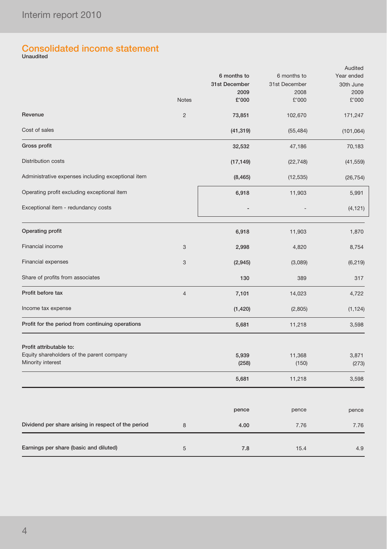## Consolidated income statement Unaudited

|                                                                                           | <b>Notes</b>   | 6 months to<br>31st December<br>2009<br>£'000 | 6 months to<br>31st December<br>2008<br>£'000 | Audited<br>Year ended<br>30th June<br>2009<br>£'000 |
|-------------------------------------------------------------------------------------------|----------------|-----------------------------------------------|-----------------------------------------------|-----------------------------------------------------|
| Revenue                                                                                   | $\overline{2}$ | 73,851                                        | 102,670                                       | 171,247                                             |
| Cost of sales                                                                             |                | (41, 319)                                     | (55, 484)                                     | (101, 064)                                          |
| Gross profit                                                                              |                | 32,532                                        | 47,186                                        | 70,183                                              |
| Distribution costs                                                                        |                | (17, 149)                                     | (22, 748)                                     | (41, 559)                                           |
| Administrative expenses including exceptional item                                        |                | (8, 465)                                      | (12, 535)                                     | (26, 754)                                           |
| Operating profit excluding exceptional item                                               |                | 6,918                                         | 11,903                                        | 5,991                                               |
| Exceptional item - redundancy costs                                                       |                |                                               |                                               | (4, 121)                                            |
| Operating profit                                                                          |                | 6,918                                         | 11,903                                        | 1,870                                               |
| Financial income                                                                          | 3              | 2,998                                         | 4,820                                         | 8,754                                               |
| Financial expenses                                                                        | 3              | (2, 945)                                      | (3,089)                                       | (6, 219)                                            |
| Share of profits from associates                                                          |                | 130                                           | 389                                           | 317                                                 |
| Profit before tax                                                                         | $\overline{4}$ | 7,101                                         | 14,023                                        | 4,722                                               |
| Income tax expense                                                                        |                | (1, 420)                                      | (2,805)                                       | (1, 124)                                            |
| Profit for the period from continuing operations                                          |                | 5,681                                         | 11,218                                        | 3,598                                               |
| Profit attributable to:<br>Equity shareholders of the parent company<br>Minority interest |                | 5,939<br>(258)                                | 11,368<br>(150)                               | 3,871<br>(273)                                      |
|                                                                                           |                | 5,681                                         | 11,218                                        | 3,598                                               |
|                                                                                           |                | pence                                         | pence                                         | pence                                               |
| Dividend per share arising in respect of the period                                       | 8              | 4.00                                          | 7.76                                          | 7.76                                                |
| Earnings per share (basic and diluted)                                                    | 5              | 7.8                                           | 15.4                                          | 4.9                                                 |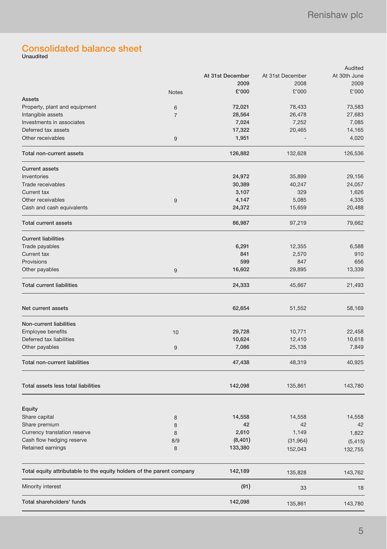## Consolidated balance sheet Unaudited

| At 30th June<br>At 31st December<br>At 31st December<br>2009<br>2008<br>2009<br>£'000<br>£'000<br>£'000<br><b>Notes</b><br>Assets<br>Property, plant and equipment<br>72,021<br>78,433<br>73,583<br>6<br>Intangible assets<br>28,564<br>26,478<br>27,683<br>$\overline{7}$<br>Investments in associates<br>7,024<br>7,252<br>7,085<br>Deferred tax assets<br>20,465<br>14,165<br>17,322<br>Other receivables<br>1,951<br>4,020<br>9<br>126,882<br>126,536<br>Total non-current assets<br>132,628<br><b>Current assets</b><br>Inventories<br>29,156<br>24,972<br>35,899<br>Trade receivables<br>30,389<br>40,247<br>24,057<br>Current tax<br>3,107<br>329<br>1,626<br>Other receivables<br>5,085<br>4,335<br>4,147<br>9<br>Cash and cash equivalents<br>24,372<br>15,659<br>20,488<br><b>Total current assets</b><br>86,987<br>97,219<br>79,662<br><b>Current liabilities</b><br>Trade payables<br>6,291<br>12,355<br>6,588<br>841<br>2,570<br>910<br>Current tax<br>599<br>Provisions<br>847<br>656<br>16,602<br>29,895<br>13,339<br>Other payables<br>9<br><b>Total current liabilities</b><br>24,333<br>45,667<br>21,493<br>Net current assets<br>62,654<br>51,552<br>58,169<br>Non-current liabilities<br>Employee benefits<br>29,728<br>22,458<br>10,771<br>10<br>Deferred tax liabilities<br>10,618<br>10,624<br>12,410<br>7,086<br>25,138<br>7,849<br>Other payables<br>9<br><b>Total non-current liabilities</b><br>47,438<br>48,319<br>40,925<br>Total assets less total liabilities<br>143,780<br>142,098<br>135,861<br>Equity<br>14,558<br>Share capital<br>14,558<br>8<br>Share premium<br>42<br>42<br>42<br>8<br>Currency translation reserve<br>2,610<br>1,149<br>8<br>1,822<br>Cash flow hedging reserve<br>(8, 401)<br>8/9<br>(31, 964)<br>(5, 415)<br>Retained earnings<br>133,380<br>8<br>152,043<br>132,755<br>Total equity attributable to the equity holders of the parent company<br>142,189<br>135,828<br>143,762<br>(91)<br>Minority interest<br>33<br>18<br>Total shareholders' funds<br>142,098<br>143,780<br>135,861 |  |  | Audited |
|------------------------------------------------------------------------------------------------------------------------------------------------------------------------------------------------------------------------------------------------------------------------------------------------------------------------------------------------------------------------------------------------------------------------------------------------------------------------------------------------------------------------------------------------------------------------------------------------------------------------------------------------------------------------------------------------------------------------------------------------------------------------------------------------------------------------------------------------------------------------------------------------------------------------------------------------------------------------------------------------------------------------------------------------------------------------------------------------------------------------------------------------------------------------------------------------------------------------------------------------------------------------------------------------------------------------------------------------------------------------------------------------------------------------------------------------------------------------------------------------------------------------------------------------------------------------------------------------------------------------------------------------------------------------------------------------------------------------------------------------------------------------------------------------------------------------------------------------------------------------------------------------------------------------------------------------------------------------------------------------------------------------------------------------|--|--|---------|
|                                                                                                                                                                                                                                                                                                                                                                                                                                                                                                                                                                                                                                                                                                                                                                                                                                                                                                                                                                                                                                                                                                                                                                                                                                                                                                                                                                                                                                                                                                                                                                                                                                                                                                                                                                                                                                                                                                                                                                                                                                                |  |  |         |
|                                                                                                                                                                                                                                                                                                                                                                                                                                                                                                                                                                                                                                                                                                                                                                                                                                                                                                                                                                                                                                                                                                                                                                                                                                                                                                                                                                                                                                                                                                                                                                                                                                                                                                                                                                                                                                                                                                                                                                                                                                                |  |  |         |
|                                                                                                                                                                                                                                                                                                                                                                                                                                                                                                                                                                                                                                                                                                                                                                                                                                                                                                                                                                                                                                                                                                                                                                                                                                                                                                                                                                                                                                                                                                                                                                                                                                                                                                                                                                                                                                                                                                                                                                                                                                                |  |  |         |
|                                                                                                                                                                                                                                                                                                                                                                                                                                                                                                                                                                                                                                                                                                                                                                                                                                                                                                                                                                                                                                                                                                                                                                                                                                                                                                                                                                                                                                                                                                                                                                                                                                                                                                                                                                                                                                                                                                                                                                                                                                                |  |  |         |
|                                                                                                                                                                                                                                                                                                                                                                                                                                                                                                                                                                                                                                                                                                                                                                                                                                                                                                                                                                                                                                                                                                                                                                                                                                                                                                                                                                                                                                                                                                                                                                                                                                                                                                                                                                                                                                                                                                                                                                                                                                                |  |  |         |
|                                                                                                                                                                                                                                                                                                                                                                                                                                                                                                                                                                                                                                                                                                                                                                                                                                                                                                                                                                                                                                                                                                                                                                                                                                                                                                                                                                                                                                                                                                                                                                                                                                                                                                                                                                                                                                                                                                                                                                                                                                                |  |  |         |
|                                                                                                                                                                                                                                                                                                                                                                                                                                                                                                                                                                                                                                                                                                                                                                                                                                                                                                                                                                                                                                                                                                                                                                                                                                                                                                                                                                                                                                                                                                                                                                                                                                                                                                                                                                                                                                                                                                                                                                                                                                                |  |  |         |
|                                                                                                                                                                                                                                                                                                                                                                                                                                                                                                                                                                                                                                                                                                                                                                                                                                                                                                                                                                                                                                                                                                                                                                                                                                                                                                                                                                                                                                                                                                                                                                                                                                                                                                                                                                                                                                                                                                                                                                                                                                                |  |  |         |
|                                                                                                                                                                                                                                                                                                                                                                                                                                                                                                                                                                                                                                                                                                                                                                                                                                                                                                                                                                                                                                                                                                                                                                                                                                                                                                                                                                                                                                                                                                                                                                                                                                                                                                                                                                                                                                                                                                                                                                                                                                                |  |  |         |
|                                                                                                                                                                                                                                                                                                                                                                                                                                                                                                                                                                                                                                                                                                                                                                                                                                                                                                                                                                                                                                                                                                                                                                                                                                                                                                                                                                                                                                                                                                                                                                                                                                                                                                                                                                                                                                                                                                                                                                                                                                                |  |  |         |
|                                                                                                                                                                                                                                                                                                                                                                                                                                                                                                                                                                                                                                                                                                                                                                                                                                                                                                                                                                                                                                                                                                                                                                                                                                                                                                                                                                                                                                                                                                                                                                                                                                                                                                                                                                                                                                                                                                                                                                                                                                                |  |  |         |
|                                                                                                                                                                                                                                                                                                                                                                                                                                                                                                                                                                                                                                                                                                                                                                                                                                                                                                                                                                                                                                                                                                                                                                                                                                                                                                                                                                                                                                                                                                                                                                                                                                                                                                                                                                                                                                                                                                                                                                                                                                                |  |  |         |
|                                                                                                                                                                                                                                                                                                                                                                                                                                                                                                                                                                                                                                                                                                                                                                                                                                                                                                                                                                                                                                                                                                                                                                                                                                                                                                                                                                                                                                                                                                                                                                                                                                                                                                                                                                                                                                                                                                                                                                                                                                                |  |  |         |
|                                                                                                                                                                                                                                                                                                                                                                                                                                                                                                                                                                                                                                                                                                                                                                                                                                                                                                                                                                                                                                                                                                                                                                                                                                                                                                                                                                                                                                                                                                                                                                                                                                                                                                                                                                                                                                                                                                                                                                                                                                                |  |  |         |
|                                                                                                                                                                                                                                                                                                                                                                                                                                                                                                                                                                                                                                                                                                                                                                                                                                                                                                                                                                                                                                                                                                                                                                                                                                                                                                                                                                                                                                                                                                                                                                                                                                                                                                                                                                                                                                                                                                                                                                                                                                                |  |  |         |
|                                                                                                                                                                                                                                                                                                                                                                                                                                                                                                                                                                                                                                                                                                                                                                                                                                                                                                                                                                                                                                                                                                                                                                                                                                                                                                                                                                                                                                                                                                                                                                                                                                                                                                                                                                                                                                                                                                                                                                                                                                                |  |  |         |
|                                                                                                                                                                                                                                                                                                                                                                                                                                                                                                                                                                                                                                                                                                                                                                                                                                                                                                                                                                                                                                                                                                                                                                                                                                                                                                                                                                                                                                                                                                                                                                                                                                                                                                                                                                                                                                                                                                                                                                                                                                                |  |  |         |
|                                                                                                                                                                                                                                                                                                                                                                                                                                                                                                                                                                                                                                                                                                                                                                                                                                                                                                                                                                                                                                                                                                                                                                                                                                                                                                                                                                                                                                                                                                                                                                                                                                                                                                                                                                                                                                                                                                                                                                                                                                                |  |  |         |
|                                                                                                                                                                                                                                                                                                                                                                                                                                                                                                                                                                                                                                                                                                                                                                                                                                                                                                                                                                                                                                                                                                                                                                                                                                                                                                                                                                                                                                                                                                                                                                                                                                                                                                                                                                                                                                                                                                                                                                                                                                                |  |  |         |
|                                                                                                                                                                                                                                                                                                                                                                                                                                                                                                                                                                                                                                                                                                                                                                                                                                                                                                                                                                                                                                                                                                                                                                                                                                                                                                                                                                                                                                                                                                                                                                                                                                                                                                                                                                                                                                                                                                                                                                                                                                                |  |  |         |
|                                                                                                                                                                                                                                                                                                                                                                                                                                                                                                                                                                                                                                                                                                                                                                                                                                                                                                                                                                                                                                                                                                                                                                                                                                                                                                                                                                                                                                                                                                                                                                                                                                                                                                                                                                                                                                                                                                                                                                                                                                                |  |  |         |
|                                                                                                                                                                                                                                                                                                                                                                                                                                                                                                                                                                                                                                                                                                                                                                                                                                                                                                                                                                                                                                                                                                                                                                                                                                                                                                                                                                                                                                                                                                                                                                                                                                                                                                                                                                                                                                                                                                                                                                                                                                                |  |  |         |
|                                                                                                                                                                                                                                                                                                                                                                                                                                                                                                                                                                                                                                                                                                                                                                                                                                                                                                                                                                                                                                                                                                                                                                                                                                                                                                                                                                                                                                                                                                                                                                                                                                                                                                                                                                                                                                                                                                                                                                                                                                                |  |  |         |
|                                                                                                                                                                                                                                                                                                                                                                                                                                                                                                                                                                                                                                                                                                                                                                                                                                                                                                                                                                                                                                                                                                                                                                                                                                                                                                                                                                                                                                                                                                                                                                                                                                                                                                                                                                                                                                                                                                                                                                                                                                                |  |  |         |
|                                                                                                                                                                                                                                                                                                                                                                                                                                                                                                                                                                                                                                                                                                                                                                                                                                                                                                                                                                                                                                                                                                                                                                                                                                                                                                                                                                                                                                                                                                                                                                                                                                                                                                                                                                                                                                                                                                                                                                                                                                                |  |  |         |
|                                                                                                                                                                                                                                                                                                                                                                                                                                                                                                                                                                                                                                                                                                                                                                                                                                                                                                                                                                                                                                                                                                                                                                                                                                                                                                                                                                                                                                                                                                                                                                                                                                                                                                                                                                                                                                                                                                                                                                                                                                                |  |  |         |
|                                                                                                                                                                                                                                                                                                                                                                                                                                                                                                                                                                                                                                                                                                                                                                                                                                                                                                                                                                                                                                                                                                                                                                                                                                                                                                                                                                                                                                                                                                                                                                                                                                                                                                                                                                                                                                                                                                                                                                                                                                                |  |  |         |
|                                                                                                                                                                                                                                                                                                                                                                                                                                                                                                                                                                                                                                                                                                                                                                                                                                                                                                                                                                                                                                                                                                                                                                                                                                                                                                                                                                                                                                                                                                                                                                                                                                                                                                                                                                                                                                                                                                                                                                                                                                                |  |  |         |
|                                                                                                                                                                                                                                                                                                                                                                                                                                                                                                                                                                                                                                                                                                                                                                                                                                                                                                                                                                                                                                                                                                                                                                                                                                                                                                                                                                                                                                                                                                                                                                                                                                                                                                                                                                                                                                                                                                                                                                                                                                                |  |  |         |
|                                                                                                                                                                                                                                                                                                                                                                                                                                                                                                                                                                                                                                                                                                                                                                                                                                                                                                                                                                                                                                                                                                                                                                                                                                                                                                                                                                                                                                                                                                                                                                                                                                                                                                                                                                                                                                                                                                                                                                                                                                                |  |  |         |
|                                                                                                                                                                                                                                                                                                                                                                                                                                                                                                                                                                                                                                                                                                                                                                                                                                                                                                                                                                                                                                                                                                                                                                                                                                                                                                                                                                                                                                                                                                                                                                                                                                                                                                                                                                                                                                                                                                                                                                                                                                                |  |  |         |
|                                                                                                                                                                                                                                                                                                                                                                                                                                                                                                                                                                                                                                                                                                                                                                                                                                                                                                                                                                                                                                                                                                                                                                                                                                                                                                                                                                                                                                                                                                                                                                                                                                                                                                                                                                                                                                                                                                                                                                                                                                                |  |  |         |
|                                                                                                                                                                                                                                                                                                                                                                                                                                                                                                                                                                                                                                                                                                                                                                                                                                                                                                                                                                                                                                                                                                                                                                                                                                                                                                                                                                                                                                                                                                                                                                                                                                                                                                                                                                                                                                                                                                                                                                                                                                                |  |  |         |
|                                                                                                                                                                                                                                                                                                                                                                                                                                                                                                                                                                                                                                                                                                                                                                                                                                                                                                                                                                                                                                                                                                                                                                                                                                                                                                                                                                                                                                                                                                                                                                                                                                                                                                                                                                                                                                                                                                                                                                                                                                                |  |  | 14,558  |
|                                                                                                                                                                                                                                                                                                                                                                                                                                                                                                                                                                                                                                                                                                                                                                                                                                                                                                                                                                                                                                                                                                                                                                                                                                                                                                                                                                                                                                                                                                                                                                                                                                                                                                                                                                                                                                                                                                                                                                                                                                                |  |  |         |
|                                                                                                                                                                                                                                                                                                                                                                                                                                                                                                                                                                                                                                                                                                                                                                                                                                                                                                                                                                                                                                                                                                                                                                                                                                                                                                                                                                                                                                                                                                                                                                                                                                                                                                                                                                                                                                                                                                                                                                                                                                                |  |  |         |
|                                                                                                                                                                                                                                                                                                                                                                                                                                                                                                                                                                                                                                                                                                                                                                                                                                                                                                                                                                                                                                                                                                                                                                                                                                                                                                                                                                                                                                                                                                                                                                                                                                                                                                                                                                                                                                                                                                                                                                                                                                                |  |  |         |
|                                                                                                                                                                                                                                                                                                                                                                                                                                                                                                                                                                                                                                                                                                                                                                                                                                                                                                                                                                                                                                                                                                                                                                                                                                                                                                                                                                                                                                                                                                                                                                                                                                                                                                                                                                                                                                                                                                                                                                                                                                                |  |  |         |
|                                                                                                                                                                                                                                                                                                                                                                                                                                                                                                                                                                                                                                                                                                                                                                                                                                                                                                                                                                                                                                                                                                                                                                                                                                                                                                                                                                                                                                                                                                                                                                                                                                                                                                                                                                                                                                                                                                                                                                                                                                                |  |  |         |
|                                                                                                                                                                                                                                                                                                                                                                                                                                                                                                                                                                                                                                                                                                                                                                                                                                                                                                                                                                                                                                                                                                                                                                                                                                                                                                                                                                                                                                                                                                                                                                                                                                                                                                                                                                                                                                                                                                                                                                                                                                                |  |  |         |
|                                                                                                                                                                                                                                                                                                                                                                                                                                                                                                                                                                                                                                                                                                                                                                                                                                                                                                                                                                                                                                                                                                                                                                                                                                                                                                                                                                                                                                                                                                                                                                                                                                                                                                                                                                                                                                                                                                                                                                                                                                                |  |  |         |
|                                                                                                                                                                                                                                                                                                                                                                                                                                                                                                                                                                                                                                                                                                                                                                                                                                                                                                                                                                                                                                                                                                                                                                                                                                                                                                                                                                                                                                                                                                                                                                                                                                                                                                                                                                                                                                                                                                                                                                                                                                                |  |  |         |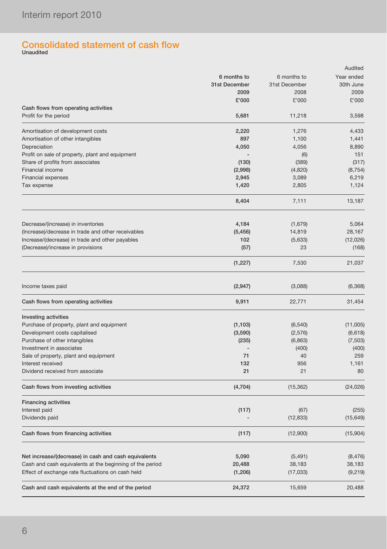## Consolidated statement of cash flow Unaudited

| 6 months to<br>6 months to<br>Year ended<br>31st December<br>31st December<br>2009<br>2008<br>2009<br>£'000<br>£'000<br>Cash flows from operating activities<br>Profit for the period<br>5,681<br>11,218<br>3,598<br>Amortisation of development costs<br>1,276<br>2,220<br>Amortisation of other intangibles<br>897<br>1,100<br>1,441<br>Depreciation<br>4,050<br>4,056<br>8,890<br>151<br>Profit on sale of property, plant and equipment<br>(6)<br>(389)<br>Share of profits from associates<br>(130)<br>(317)<br>Financial income<br>(2,998)<br>(4,820)<br>(8, 754)<br><b>Financial expenses</b><br>2,945<br>3,089<br>6,219<br>1,420<br>Tax expense<br>2,805<br>8,404<br>7,111<br>13,187<br>4,184<br>Decrease/(increase) in inventories<br>(1,679)<br>5,064<br>(Increase)/decrease in trade and other receivables<br>(5, 456)<br>14,819<br>28,167<br>Increase/(decrease) in trade and other payables<br>102<br>(5,633)<br>(12,026)<br>(Decrease)/increase in provisions<br>23<br>(57)<br>(1, 227)<br>7,530<br>21,037<br>Income taxes paid<br>(2,947)<br>(3,088)<br>(6, 368)<br>Cash flows from operating activities<br>9,911<br>31,454<br>22,771<br><b>Investing activities</b><br>Purchase of property, plant and equipment<br>(1, 103)<br>(6, 540)<br>Development costs capitalised<br>(3,590)<br>(2, 576)<br>Purchase of other intangibles<br>(235)<br>(6, 863)<br>Investment in associates<br>(400)<br>Sale of property, plant and equipment<br>71<br>40<br>Interest received<br>132<br>956<br>1,161<br>21<br>21<br>Dividend received from associate<br>Cash flows from investing activities<br>(4,704)<br>(15, 362)<br><b>Financing activities</b><br>(117)<br>Interest paid<br>(67)<br>(12, 833)<br>Dividends paid<br>Cash flows from financing activities<br>(117)<br>(12,900)<br>Net increase/(decrease) in cash and cash equivalents<br>5,090<br>(5, 491)<br>(8, 476)<br>Cash and cash equivalents at the beginning of the period<br>20,488<br>38,183<br>38,183<br>Effect of exchange rate fluctuations on cash held<br>(1,206)<br>(17, 033)<br>24,372<br>Cash and cash equivalents at the end of the period<br>15,659 |  | Audited   |
|-------------------------------------------------------------------------------------------------------------------------------------------------------------------------------------------------------------------------------------------------------------------------------------------------------------------------------------------------------------------------------------------------------------------------------------------------------------------------------------------------------------------------------------------------------------------------------------------------------------------------------------------------------------------------------------------------------------------------------------------------------------------------------------------------------------------------------------------------------------------------------------------------------------------------------------------------------------------------------------------------------------------------------------------------------------------------------------------------------------------------------------------------------------------------------------------------------------------------------------------------------------------------------------------------------------------------------------------------------------------------------------------------------------------------------------------------------------------------------------------------------------------------------------------------------------------------------------------------------------------------------------------------------------------------------------------------------------------------------------------------------------------------------------------------------------------------------------------------------------------------------------------------------------------------------------------------------------------------------------------------------------------------------------------------------------------------------------------------------------------------------------|--|-----------|
|                                                                                                                                                                                                                                                                                                                                                                                                                                                                                                                                                                                                                                                                                                                                                                                                                                                                                                                                                                                                                                                                                                                                                                                                                                                                                                                                                                                                                                                                                                                                                                                                                                                                                                                                                                                                                                                                                                                                                                                                                                                                                                                                     |  |           |
|                                                                                                                                                                                                                                                                                                                                                                                                                                                                                                                                                                                                                                                                                                                                                                                                                                                                                                                                                                                                                                                                                                                                                                                                                                                                                                                                                                                                                                                                                                                                                                                                                                                                                                                                                                                                                                                                                                                                                                                                                                                                                                                                     |  | 30th June |
|                                                                                                                                                                                                                                                                                                                                                                                                                                                                                                                                                                                                                                                                                                                                                                                                                                                                                                                                                                                                                                                                                                                                                                                                                                                                                                                                                                                                                                                                                                                                                                                                                                                                                                                                                                                                                                                                                                                                                                                                                                                                                                                                     |  |           |
|                                                                                                                                                                                                                                                                                                                                                                                                                                                                                                                                                                                                                                                                                                                                                                                                                                                                                                                                                                                                                                                                                                                                                                                                                                                                                                                                                                                                                                                                                                                                                                                                                                                                                                                                                                                                                                                                                                                                                                                                                                                                                                                                     |  | £'000     |
|                                                                                                                                                                                                                                                                                                                                                                                                                                                                                                                                                                                                                                                                                                                                                                                                                                                                                                                                                                                                                                                                                                                                                                                                                                                                                                                                                                                                                                                                                                                                                                                                                                                                                                                                                                                                                                                                                                                                                                                                                                                                                                                                     |  |           |
|                                                                                                                                                                                                                                                                                                                                                                                                                                                                                                                                                                                                                                                                                                                                                                                                                                                                                                                                                                                                                                                                                                                                                                                                                                                                                                                                                                                                                                                                                                                                                                                                                                                                                                                                                                                                                                                                                                                                                                                                                                                                                                                                     |  |           |
|                                                                                                                                                                                                                                                                                                                                                                                                                                                                                                                                                                                                                                                                                                                                                                                                                                                                                                                                                                                                                                                                                                                                                                                                                                                                                                                                                                                                                                                                                                                                                                                                                                                                                                                                                                                                                                                                                                                                                                                                                                                                                                                                     |  | 4,433     |
|                                                                                                                                                                                                                                                                                                                                                                                                                                                                                                                                                                                                                                                                                                                                                                                                                                                                                                                                                                                                                                                                                                                                                                                                                                                                                                                                                                                                                                                                                                                                                                                                                                                                                                                                                                                                                                                                                                                                                                                                                                                                                                                                     |  |           |
|                                                                                                                                                                                                                                                                                                                                                                                                                                                                                                                                                                                                                                                                                                                                                                                                                                                                                                                                                                                                                                                                                                                                                                                                                                                                                                                                                                                                                                                                                                                                                                                                                                                                                                                                                                                                                                                                                                                                                                                                                                                                                                                                     |  |           |
|                                                                                                                                                                                                                                                                                                                                                                                                                                                                                                                                                                                                                                                                                                                                                                                                                                                                                                                                                                                                                                                                                                                                                                                                                                                                                                                                                                                                                                                                                                                                                                                                                                                                                                                                                                                                                                                                                                                                                                                                                                                                                                                                     |  |           |
|                                                                                                                                                                                                                                                                                                                                                                                                                                                                                                                                                                                                                                                                                                                                                                                                                                                                                                                                                                                                                                                                                                                                                                                                                                                                                                                                                                                                                                                                                                                                                                                                                                                                                                                                                                                                                                                                                                                                                                                                                                                                                                                                     |  |           |
|                                                                                                                                                                                                                                                                                                                                                                                                                                                                                                                                                                                                                                                                                                                                                                                                                                                                                                                                                                                                                                                                                                                                                                                                                                                                                                                                                                                                                                                                                                                                                                                                                                                                                                                                                                                                                                                                                                                                                                                                                                                                                                                                     |  |           |
|                                                                                                                                                                                                                                                                                                                                                                                                                                                                                                                                                                                                                                                                                                                                                                                                                                                                                                                                                                                                                                                                                                                                                                                                                                                                                                                                                                                                                                                                                                                                                                                                                                                                                                                                                                                                                                                                                                                                                                                                                                                                                                                                     |  |           |
|                                                                                                                                                                                                                                                                                                                                                                                                                                                                                                                                                                                                                                                                                                                                                                                                                                                                                                                                                                                                                                                                                                                                                                                                                                                                                                                                                                                                                                                                                                                                                                                                                                                                                                                                                                                                                                                                                                                                                                                                                                                                                                                                     |  | 1,124     |
|                                                                                                                                                                                                                                                                                                                                                                                                                                                                                                                                                                                                                                                                                                                                                                                                                                                                                                                                                                                                                                                                                                                                                                                                                                                                                                                                                                                                                                                                                                                                                                                                                                                                                                                                                                                                                                                                                                                                                                                                                                                                                                                                     |  |           |
|                                                                                                                                                                                                                                                                                                                                                                                                                                                                                                                                                                                                                                                                                                                                                                                                                                                                                                                                                                                                                                                                                                                                                                                                                                                                                                                                                                                                                                                                                                                                                                                                                                                                                                                                                                                                                                                                                                                                                                                                                                                                                                                                     |  |           |
|                                                                                                                                                                                                                                                                                                                                                                                                                                                                                                                                                                                                                                                                                                                                                                                                                                                                                                                                                                                                                                                                                                                                                                                                                                                                                                                                                                                                                                                                                                                                                                                                                                                                                                                                                                                                                                                                                                                                                                                                                                                                                                                                     |  |           |
|                                                                                                                                                                                                                                                                                                                                                                                                                                                                                                                                                                                                                                                                                                                                                                                                                                                                                                                                                                                                                                                                                                                                                                                                                                                                                                                                                                                                                                                                                                                                                                                                                                                                                                                                                                                                                                                                                                                                                                                                                                                                                                                                     |  |           |
|                                                                                                                                                                                                                                                                                                                                                                                                                                                                                                                                                                                                                                                                                                                                                                                                                                                                                                                                                                                                                                                                                                                                                                                                                                                                                                                                                                                                                                                                                                                                                                                                                                                                                                                                                                                                                                                                                                                                                                                                                                                                                                                                     |  |           |
|                                                                                                                                                                                                                                                                                                                                                                                                                                                                                                                                                                                                                                                                                                                                                                                                                                                                                                                                                                                                                                                                                                                                                                                                                                                                                                                                                                                                                                                                                                                                                                                                                                                                                                                                                                                                                                                                                                                                                                                                                                                                                                                                     |  | (168)     |
|                                                                                                                                                                                                                                                                                                                                                                                                                                                                                                                                                                                                                                                                                                                                                                                                                                                                                                                                                                                                                                                                                                                                                                                                                                                                                                                                                                                                                                                                                                                                                                                                                                                                                                                                                                                                                                                                                                                                                                                                                                                                                                                                     |  |           |
|                                                                                                                                                                                                                                                                                                                                                                                                                                                                                                                                                                                                                                                                                                                                                                                                                                                                                                                                                                                                                                                                                                                                                                                                                                                                                                                                                                                                                                                                                                                                                                                                                                                                                                                                                                                                                                                                                                                                                                                                                                                                                                                                     |  |           |
|                                                                                                                                                                                                                                                                                                                                                                                                                                                                                                                                                                                                                                                                                                                                                                                                                                                                                                                                                                                                                                                                                                                                                                                                                                                                                                                                                                                                                                                                                                                                                                                                                                                                                                                                                                                                                                                                                                                                                                                                                                                                                                                                     |  |           |
|                                                                                                                                                                                                                                                                                                                                                                                                                                                                                                                                                                                                                                                                                                                                                                                                                                                                                                                                                                                                                                                                                                                                                                                                                                                                                                                                                                                                                                                                                                                                                                                                                                                                                                                                                                                                                                                                                                                                                                                                                                                                                                                                     |  |           |
|                                                                                                                                                                                                                                                                                                                                                                                                                                                                                                                                                                                                                                                                                                                                                                                                                                                                                                                                                                                                                                                                                                                                                                                                                                                                                                                                                                                                                                                                                                                                                                                                                                                                                                                                                                                                                                                                                                                                                                                                                                                                                                                                     |  |           |
|                                                                                                                                                                                                                                                                                                                                                                                                                                                                                                                                                                                                                                                                                                                                                                                                                                                                                                                                                                                                                                                                                                                                                                                                                                                                                                                                                                                                                                                                                                                                                                                                                                                                                                                                                                                                                                                                                                                                                                                                                                                                                                                                     |  | (11,005)  |
|                                                                                                                                                                                                                                                                                                                                                                                                                                                                                                                                                                                                                                                                                                                                                                                                                                                                                                                                                                                                                                                                                                                                                                                                                                                                                                                                                                                                                                                                                                                                                                                                                                                                                                                                                                                                                                                                                                                                                                                                                                                                                                                                     |  | (6,618)   |
|                                                                                                                                                                                                                                                                                                                                                                                                                                                                                                                                                                                                                                                                                                                                                                                                                                                                                                                                                                                                                                                                                                                                                                                                                                                                                                                                                                                                                                                                                                                                                                                                                                                                                                                                                                                                                                                                                                                                                                                                                                                                                                                                     |  | (7,503)   |
|                                                                                                                                                                                                                                                                                                                                                                                                                                                                                                                                                                                                                                                                                                                                                                                                                                                                                                                                                                                                                                                                                                                                                                                                                                                                                                                                                                                                                                                                                                                                                                                                                                                                                                                                                                                                                                                                                                                                                                                                                                                                                                                                     |  | (400)     |
|                                                                                                                                                                                                                                                                                                                                                                                                                                                                                                                                                                                                                                                                                                                                                                                                                                                                                                                                                                                                                                                                                                                                                                                                                                                                                                                                                                                                                                                                                                                                                                                                                                                                                                                                                                                                                                                                                                                                                                                                                                                                                                                                     |  | 259       |
|                                                                                                                                                                                                                                                                                                                                                                                                                                                                                                                                                                                                                                                                                                                                                                                                                                                                                                                                                                                                                                                                                                                                                                                                                                                                                                                                                                                                                                                                                                                                                                                                                                                                                                                                                                                                                                                                                                                                                                                                                                                                                                                                     |  |           |
|                                                                                                                                                                                                                                                                                                                                                                                                                                                                                                                                                                                                                                                                                                                                                                                                                                                                                                                                                                                                                                                                                                                                                                                                                                                                                                                                                                                                                                                                                                                                                                                                                                                                                                                                                                                                                                                                                                                                                                                                                                                                                                                                     |  | 80        |
|                                                                                                                                                                                                                                                                                                                                                                                                                                                                                                                                                                                                                                                                                                                                                                                                                                                                                                                                                                                                                                                                                                                                                                                                                                                                                                                                                                                                                                                                                                                                                                                                                                                                                                                                                                                                                                                                                                                                                                                                                                                                                                                                     |  | (24, 026) |
|                                                                                                                                                                                                                                                                                                                                                                                                                                                                                                                                                                                                                                                                                                                                                                                                                                                                                                                                                                                                                                                                                                                                                                                                                                                                                                                                                                                                                                                                                                                                                                                                                                                                                                                                                                                                                                                                                                                                                                                                                                                                                                                                     |  |           |
|                                                                                                                                                                                                                                                                                                                                                                                                                                                                                                                                                                                                                                                                                                                                                                                                                                                                                                                                                                                                                                                                                                                                                                                                                                                                                                                                                                                                                                                                                                                                                                                                                                                                                                                                                                                                                                                                                                                                                                                                                                                                                                                                     |  | (255)     |
|                                                                                                                                                                                                                                                                                                                                                                                                                                                                                                                                                                                                                                                                                                                                                                                                                                                                                                                                                                                                                                                                                                                                                                                                                                                                                                                                                                                                                                                                                                                                                                                                                                                                                                                                                                                                                                                                                                                                                                                                                                                                                                                                     |  | (15, 649) |
|                                                                                                                                                                                                                                                                                                                                                                                                                                                                                                                                                                                                                                                                                                                                                                                                                                                                                                                                                                                                                                                                                                                                                                                                                                                                                                                                                                                                                                                                                                                                                                                                                                                                                                                                                                                                                                                                                                                                                                                                                                                                                                                                     |  | (15,904)  |
|                                                                                                                                                                                                                                                                                                                                                                                                                                                                                                                                                                                                                                                                                                                                                                                                                                                                                                                                                                                                                                                                                                                                                                                                                                                                                                                                                                                                                                                                                                                                                                                                                                                                                                                                                                                                                                                                                                                                                                                                                                                                                                                                     |  |           |
|                                                                                                                                                                                                                                                                                                                                                                                                                                                                                                                                                                                                                                                                                                                                                                                                                                                                                                                                                                                                                                                                                                                                                                                                                                                                                                                                                                                                                                                                                                                                                                                                                                                                                                                                                                                                                                                                                                                                                                                                                                                                                                                                     |  |           |
|                                                                                                                                                                                                                                                                                                                                                                                                                                                                                                                                                                                                                                                                                                                                                                                                                                                                                                                                                                                                                                                                                                                                                                                                                                                                                                                                                                                                                                                                                                                                                                                                                                                                                                                                                                                                                                                                                                                                                                                                                                                                                                                                     |  |           |
|                                                                                                                                                                                                                                                                                                                                                                                                                                                                                                                                                                                                                                                                                                                                                                                                                                                                                                                                                                                                                                                                                                                                                                                                                                                                                                                                                                                                                                                                                                                                                                                                                                                                                                                                                                                                                                                                                                                                                                                                                                                                                                                                     |  | (9,219)   |
|                                                                                                                                                                                                                                                                                                                                                                                                                                                                                                                                                                                                                                                                                                                                                                                                                                                                                                                                                                                                                                                                                                                                                                                                                                                                                                                                                                                                                                                                                                                                                                                                                                                                                                                                                                                                                                                                                                                                                                                                                                                                                                                                     |  | 20,488    |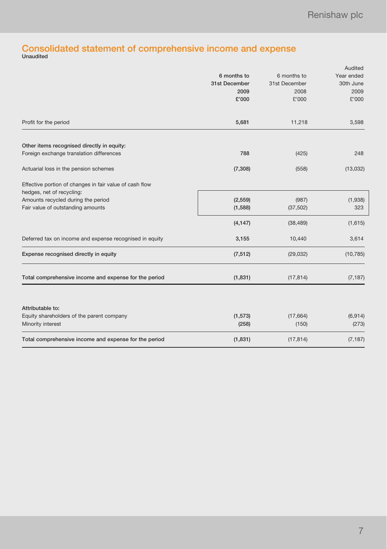## Consolidated statement of comprehensive income and expense Unaudited

|                                                         |               |               | Audited    |
|---------------------------------------------------------|---------------|---------------|------------|
|                                                         | 6 months to   | 6 months to   | Year ended |
|                                                         | 31st December | 31st December | 30th June  |
|                                                         | 2009          | 2008          | 2009       |
|                                                         | £'000         | £'000         | £'000      |
| Profit for the period                                   | 5,681         | 11,218        | 3,598      |
| Other items recognised directly in equity:              |               |               |            |
| Foreign exchange translation differences                | 788           | (425)         | 248        |
| Actuarial loss in the pension schemes                   | (7, 308)      | (558)         | (13,032)   |
| Effective portion of changes in fair value of cash flow |               |               |            |
| hedges, net of recycling:                               |               |               |            |
| Amounts recycled during the period                      | (2, 559)      | (987)         | (1,938)    |
| Fair value of outstanding amounts                       | (1,588)       | (37, 502)     | 323        |
|                                                         | (4, 147)      | (38, 489)     | (1,615)    |
| Deferred tax on income and expense recognised in equity | 3,155         | 10,440        | 3,614      |
| Expense recognised directly in equity                   | (7, 512)      | (29, 032)     | (10, 785)  |
| Total comprehensive income and expense for the period   | (1,831)       | (17, 814)     | (7, 187)   |
|                                                         |               |               |            |
| Attributable to:                                        |               |               |            |
| Equity shareholders of the parent company               | (1, 573)      | (17,664)      | (6,914)    |
| Minority interest                                       | (258)         | (150)         | (273)      |
| Total comprehensive income and expense for the period   | (1, 831)      | (17, 814)     | (7, 187)   |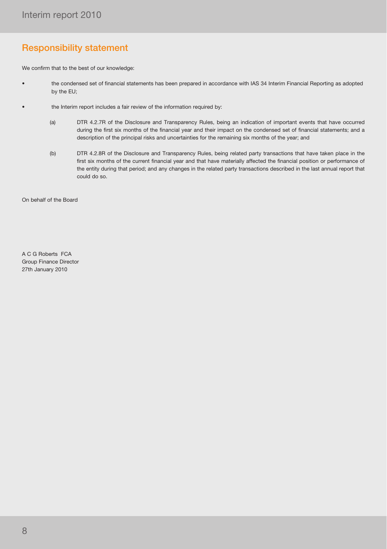## Responsibility statement

We confirm that to the best of our knowledge:

- the condensed set of financial statements has been prepared in accordance with IAS 34 Interim Financial Reporting as adopted by the EU;
- the Interim report includes a fair review of the information required by:
	- (a) DTR 4.2.7R of the Disclosure and Transparency Rules, being an indication of important events that have occurred during the first six months of the financial year and their impact on the condensed set of financial statements; and a description of the principal risks and uncertainties for the remaining six months of the year; and
	- (b) DTR 4.2.8R of the Disclosure and Transparency Rules, being related party transactions that have taken place in the first six months of the current financial year and that have materially affected the financial position or performance of the entity during that period; and any changes in the related party transactions described in the last annual report that could do so.

On behalf of the Board

A C G Roberts FCA Group Finance Director 27th January 2010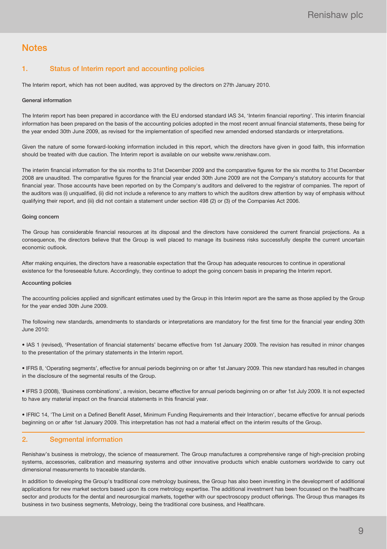### **Notes**

#### 1. Status of Interim report and accounting policies

The Interim report, which has not been audited, was approved by the directors on 27th January 2010.

#### General information

The Interim report has been prepared in accordance with the EU endorsed standard IAS 34, 'Interim financial reporting'. This interim financial information has been prepared on the basis of the accounting policies adopted in the most recent annual financial statements, these being for the year ended 30th June 2009, as revised for the implementation of specified new amended endorsed standards or interpretations.

Given the nature of some forward-looking information included in this report, which the directors have given in good faith, this information should be treated with due caution. The Interim report is available on our website www.renishaw.com.

The interim financial information for the six months to 31st December 2009 and the comparative figures for the six months to 31st December 2008 are unaudited. The comparative figures for the financial year ended 30th June 2009 are not the Company's statutory accounts for that financial year. Those accounts have been reported on by the Company's auditors and delivered to the registrar of companies. The report of the auditors was (i) unqualified, (ii) did not include a reference to any matters to which the auditors drew attention by way of emphasis without qualifying their report, and (iii) did not contain a statement under section 498 (2) or (3) of the Companies Act 2006.

#### Going concern

The Group has considerable financial resources at its disposal and the directors have considered the current financial projections. As a consequence, the directors believe that the Group is well placed to manage its business risks successfully despite the current uncertain economic outlook.

After making enquiries, the directors have a reasonable expectation that the Group has adequate resources to continue in operational existence for the foreseeable future. Accordingly, they continue to adopt the going concern basis in preparing the Interim report.

#### Accounting policies

The accounting policies applied and significant estimates used by the Group in this Interim report are the same as those applied by the Group for the year ended 30th June 2009.

The following new standards, amendments to standards or interpretations are mandatory for the first time for the financial year ending 30th June 2010:

• IAS 1 (revised), 'Presentation of financial statements' became effective from 1st January 2009. The revision has resulted in minor changes to the presentation of the primary statements in the Interim report.

• IFRS 8, 'Operating segments', effective for annual periods beginning on or after 1st January 2009. This new standard has resulted in changes in the disclosure of the segmental results of the Group.

• IFRS 3 (2008), 'Business combinations', a revision, became effective for annual periods beginning on or after 1st July 2009. It is not expected to have any material impact on the financial statements in this financial year.

• IFRIC 14, 'The Limit on a Defined Benefit Asset, Minimum Funding Requirements and their Interaction', became effective for annual periods beginning on or after 1st January 2009. This interpretation has not had a material effect on the interim results of the Group.

#### 2. Segmental information

Renishaw's business is metrology, the science of measurement. The Group manufactures a comprehensive range of high-precision probing systems, accessories, calibration and measuring systems and other innovative products which enable customers worldwide to carry out dimensional measurements to traceable standards.

In addition to developing the Group's traditional core metrology business, the Group has also been investing in the development of additional applications for new market sectors based upon its core metrology expertise. The additional investment has been focussed on the healthcare sector and products for the dental and neurosurgical markets, together with our spectroscopy product offerings. The Group thus manages its business in two business segments, Metrology, being the traditional core business, and Healthcare.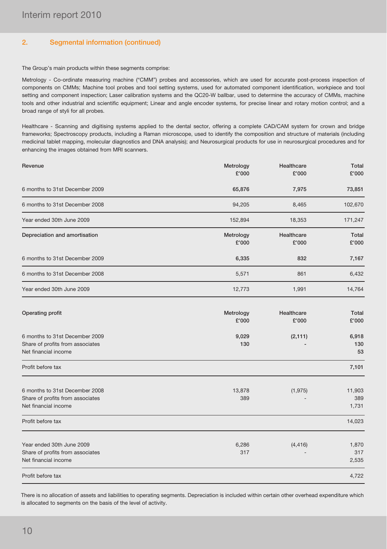#### 2. Segmental information (continued)

The Group's main products within these segments comprise:

Metrology - Co-ordinate measuring machine ("CMM") probes and accessories, which are used for accurate post-process inspection of components on CMMs; Machine tool probes and tool setting systems, used for automated component identification, workpiece and tool setting and component inspection; Laser calibration systems and the QC20-W ballbar, used to determine the accuracy of CMMs, machine tools and other industrial and scientific equipment; Linear and angle encoder systems, for precise linear and rotary motion control; and a broad range of styli for all probes.

Healthcare - Scanning and digitising systems applied to the dental sector, offering a complete CAD/CAM system for crown and bridge frameworks; Spectroscopy products, including a Raman microscope, used to identify the composition and structure of materials (including medicinal tablet mapping, molecular diagnostics and DNA analysis); and Neurosurgical products for use in neurosurgical procedures and for enhancing the images obtained from MRI scanners.

| Revenue                                                                                    | Metrology<br>£'000 | Healthcare<br>£'000 | Total<br>£'000         |
|--------------------------------------------------------------------------------------------|--------------------|---------------------|------------------------|
| 6 months to 31st December 2009                                                             | 65,876             | 7,975               | 73,851                 |
| 6 months to 31st December 2008                                                             | 94,205             | 8,465               | 102,670                |
| Year ended 30th June 2009                                                                  | 152,894            | 18,353              | 171,247                |
| Depreciation and amortisation                                                              | Metrology<br>£'000 | Healthcare<br>£'000 | Total<br>£'000         |
| 6 months to 31st December 2009                                                             | 6,335              | 832                 | 7,167                  |
| 6 months to 31st December 2008                                                             | 5,571              | 861                 | 6,432                  |
| Year ended 30th June 2009                                                                  | 12,773             | 1,991               | 14,764                 |
| Operating profit                                                                           | Metrology<br>£'000 | Healthcare<br>£'000 | Total<br>£'000         |
| 6 months to 31st December 2009<br>Share of profits from associates<br>Net financial income | 9,029<br>130       | (2, 111)            | 6,918<br>130<br>53     |
| Profit before tax                                                                          |                    |                     | 7,101                  |
| 6 months to 31st December 2008<br>Share of profits from associates<br>Net financial income | 13,878<br>389      | (1, 975)            | 11,903<br>389<br>1,731 |
| Profit before tax                                                                          |                    |                     | 14,023                 |
| Year ended 30th June 2009<br>Share of profits from associates<br>Net financial income      | 6,286<br>317       | (4, 416)            | 1,870<br>317<br>2,535  |
| Profit before tax                                                                          |                    |                     | 4,722                  |

There is no allocation of assets and liabilities to operating segments. Depreciation is included within certain other overhead expenditure which is allocated to segments on the basis of the level of activity.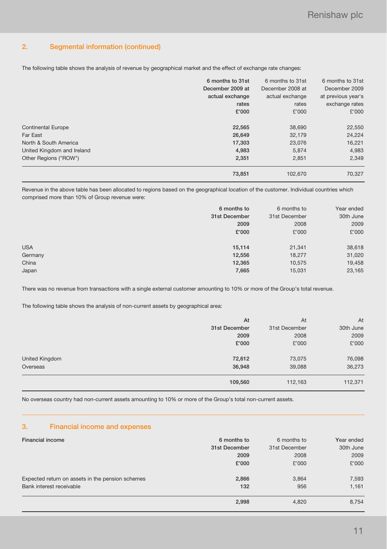#### 2. Segmental information (continued)

The following table shows the analysis of revenue by geographical market and the effect of exchange rate changes:

|                            | 6 months to 31st | 6 months to 31st | 6 months to 31st   |
|----------------------------|------------------|------------------|--------------------|
|                            | December 2009 at | December 2008 at | December 2009      |
|                            | actual exchange  | actual exchange  | at previous year's |
|                            | rates            | rates            | exchange rates     |
|                            | £'000            | £'000            | £'000              |
| <b>Continental Europe</b>  | 22,565           | 38,690           | 22,550             |
| Far East                   | 26,649           | 32,179           | 24,224             |
| North & South America      | 17,303           | 23,076           | 16,221             |
| United Kingdom and Ireland | 4,983            | 5.874            | 4,983              |
| Other Regions ("ROW")      | 2,351            | 2,851            | 2,349              |
|                            | 73,851           | 102.670          | 70.327             |

Revenue in the above table has been allocated to regions based on the geographical location of the customer. Individual countries which comprised more than 10% of Group revenue were:

|            | 6 months to   | 6 months to   | Year ended |
|------------|---------------|---------------|------------|
|            | 31st December | 31st December | 30th June  |
|            | 2009          | 2008          | 2009       |
|            | £'000         | £'000         | £'000      |
|            |               |               |            |
| <b>USA</b> | 15,114        | 21,341        | 38,618     |
| Germany    | 12,556        | 18,277        | 31,020     |
| China      | 12,365        | 10,575        | 19,458     |
| Japan      | 7,665         | 15,031        | 23,165     |
|            |               |               |            |

There was no revenue from transactions with a single external customer amounting to 10% or more of the Group's total revenue.

The following table shows the analysis of non-current assets by geographical area:

|                | At            | At            | At        |
|----------------|---------------|---------------|-----------|
|                | 31st December | 31st December | 30th June |
|                | 2009          | 2008          | 2009      |
|                | £'000         | £'000         | £'000     |
|                |               |               |           |
| United Kingdom | 72,612        | 73,075        | 76,098    |
| Overseas       | 36,948        | 39,088        | 36,273    |
|                |               |               |           |
|                | 109,560       | 112,163       | 112,371   |
|                |               |               |           |

No overseas country had non-current assets amounting to 10% or more of the Group's total non-current assets.

#### 3. Financial income and expenses

| <b>Financial income</b>                          | 6 months to   | 6 months to   | Year ended |
|--------------------------------------------------|---------------|---------------|------------|
|                                                  | 31st December | 31st December | 30th June  |
|                                                  | 2009          | 2008          | 2009       |
|                                                  | £'000         | £'000         | £'000      |
| Expected return on assets in the pension schemes | 2,866         | 3,864         | 7,593      |
| Bank interest receivable                         | 132           | 956           | 1,161      |
|                                                  | 2,998         | 4,820         | 8,754      |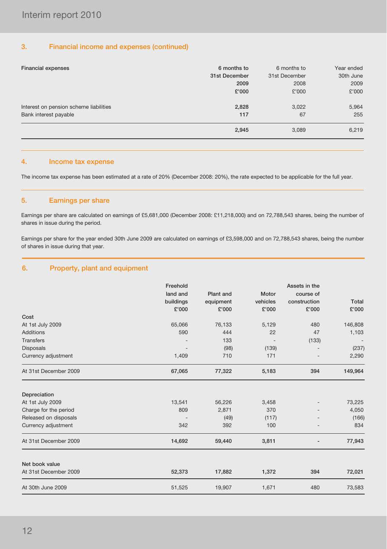#### 3. Financial income and expenses (continued)

| Financial expenses                     | 6 months to   | 6 months to   | Year ended |
|----------------------------------------|---------------|---------------|------------|
|                                        | 31st December | 31st December | 30th June  |
|                                        | 2009          | 2008          | 2009       |
|                                        | £'000         | £'000         | £'000      |
| Interest on pension scheme liabilities | 2,828         | 3,022         | 5,964      |
| Bank interest payable                  | 117           | 67            | 255        |
|                                        | 2,945         | 3,089         | 6,219      |

#### 4. Income tax expense

The income tax expense has been estimated at a rate of 20% (December 2008: 20%), the rate expected to be applicable for the full year.

#### 5. Earnings per share

Earnings per share are calculated on earnings of £5,681,000 (December 2008: £11,218,000) and on 72,788,543 shares, being the number of shares in issue during the period.

Earnings per share for the year ended 30th June 2009 are calculated on earnings of £3,598,000 and on 72,788,543 shares, being the number of shares in issue during that year.

#### 6. Property, plant and equipment

|                       | Freehold  |           |          | Assets in the |                          |
|-----------------------|-----------|-----------|----------|---------------|--------------------------|
|                       | land and  | Plant and | Motor    | course of     |                          |
|                       | buildings | equipment | vehicles | construction  | Total                    |
|                       | £'000     | £'000     | £'000    | £'000         | £'000                    |
| Cost                  |           |           |          |               |                          |
| At 1st July 2009      | 65,066    | 76,133    | 5,129    | 480           | 146,808                  |
| <b>Additions</b>      | 590       | 444       | 22       | 47            | 1,103                    |
| <b>Transfers</b>      |           | 133       |          | (133)         | $\overline{\phantom{a}}$ |
| <b>Disposals</b>      |           | (98)      | (139)    |               | (237)                    |
| Currency adjustment   | 1,409     | 710       | 171      |               | 2,290                    |
| At 31st December 2009 | 67,065    | 77,322    | 5,183    | 394           | 149,964                  |
| Depreciation          |           |           |          |               |                          |
| At 1st July 2009      | 13,541    | 56,226    | 3,458    |               | 73,225                   |
| Charge for the period | 809       | 2,871     | 370      |               | 4,050                    |
| Released on disposals |           | (49)      | (117)    |               | (166)                    |
| Currency adjustment   | 342       | 392       | 100      |               | 834                      |
| At 31st December 2009 | 14,692    | 59,440    | 3,811    |               | 77,943                   |
| Net book value        |           |           |          |               |                          |
| At 31st December 2009 | 52,373    | 17,882    | 1,372    | 394           | 72,021                   |
| At 30th June 2009     | 51,525    | 19,907    | 1,671    | 480           | 73,583                   |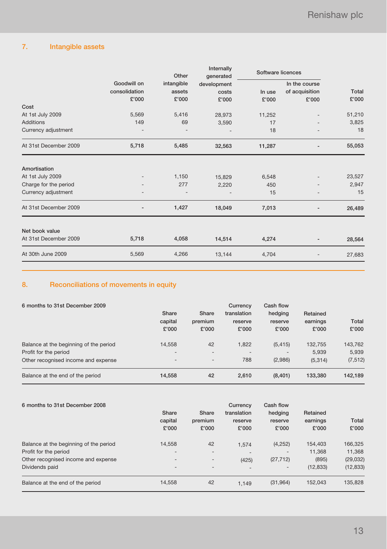### 7. Intangible assets

|                       |               | Other      | Internally<br>generated | Software licences |                |        |  |
|-----------------------|---------------|------------|-------------------------|-------------------|----------------|--------|--|
|                       | Goodwill on   | intangible | development             |                   | In the course  |        |  |
|                       | consolidation | assets     | costs                   | In use            | of acquisition | Total  |  |
|                       | £'000         | £'000      | £'000                   | £'000             | £'000          | £'000  |  |
| Cost                  |               |            |                         |                   |                |        |  |
| At 1st July 2009      | 5,569         | 5,416      | 28,973                  | 11,252            |                | 51,210 |  |
| <b>Additions</b>      | 149           | 69         | 3,590                   | 17                |                | 3,825  |  |
| Currency adjustment   |               |            |                         | 18                |                | 18     |  |
| At 31st December 2009 | 5,718         | 5,485      | 32,563                  | 11,287            |                | 55,053 |  |
| Amortisation          |               |            |                         |                   |                |        |  |
| At 1st July 2009      |               | 1,150      | 15,829                  | 6,548             |                | 23,527 |  |
| Charge for the period |               | 277        | 2,220                   | 450               |                | 2,947  |  |
| Currency adjustment   |               |            |                         | 15                |                | 15     |  |
| At 31st December 2009 |               | 1,427      | 18,049                  | 7,013             |                | 26,489 |  |
| Net book value        |               |            |                         |                   |                |        |  |
| At 31st December 2009 | 5,718         | 4,058      | 14,514                  | 4,274             |                | 28,564 |  |
| At 30th June 2009     | 5,569         | 4,266      | 13,144                  | 4,704             |                | 27,683 |  |

### 8. Reconciliations of movements in equity

| 6 months to 31st December 2009         | Share<br>capital<br>£'000 | Share<br>premium<br>£'000 | Currency<br>translation<br>reserve<br>£'000 | Cash flow<br>hedging<br>reserve<br>£'000 | Retained<br>earnings<br>£'000 | Total<br>£'000 |
|----------------------------------------|---------------------------|---------------------------|---------------------------------------------|------------------------------------------|-------------------------------|----------------|
| Balance at the beginning of the period | 14.558                    | 42                        | 1.822                                       | (5, 415)                                 | 132.755                       | 143,762        |
| Profit for the period                  | $\overline{\phantom{0}}$  | $\overline{\phantom{0}}$  |                                             |                                          | 5.939                         | 5,939          |
| Other recognised income and expense    | $\overline{\phantom{0}}$  | $\overline{\phantom{0}}$  | 788                                         | (2,986)                                  | (5,314)                       | (7, 512)       |
| Balance at the end of the period       | 14,558                    | 42                        | 2.610                                       | (8,401)                                  | 133,380                       | 142,189        |

| 6 months to 31st December 2008         | Share<br>capital<br>£'000 | Share<br>premium<br>£'000 | Currency<br>translation<br>reserve<br>£'000 | Cash flow<br>hedging<br>reserve<br>£'000 | Retained<br>earnings<br>£'000 | Total<br>£'000 |
|----------------------------------------|---------------------------|---------------------------|---------------------------------------------|------------------------------------------|-------------------------------|----------------|
| Balance at the beginning of the period | 14.558                    | 42                        | 1.574                                       | (4,252)                                  | 154,403                       | 166,325        |
| Profit for the period                  | $\overline{\phantom{0}}$  | $\overline{\phantom{0}}$  | $-$                                         | $\qquad \qquad \blacksquare$             | 11.368                        | 11,368         |
| Other recognised income and expense    | $\overline{\phantom{0}}$  | $\qquad \qquad -$         | (425)                                       | (27, 712)                                | (895)                         | (29, 032)      |
| Dividends paid                         | $\overline{\phantom{a}}$  |                           |                                             | $\qquad \qquad -$                        | (12, 833)                     | (12, 833)      |
| Balance at the end of the period       | 14,558                    | 42                        | 1.149                                       | (31, 964)                                | 152.043                       | 135,828        |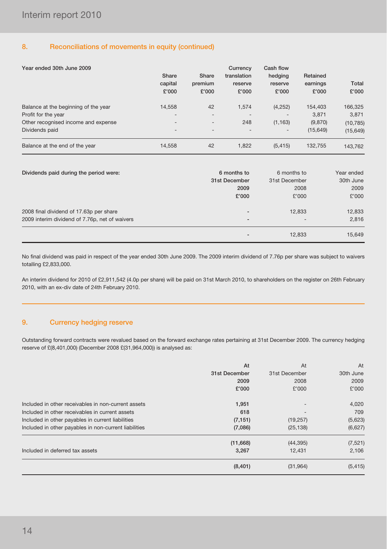#### 8. Reconciliations of movements in equity (continued)

| Year ended 30th June 2009            | Share<br>capital<br>£'000 | Share<br>premium<br>£'000 | Currency<br>translation<br>reserve<br>£'000 | Cash flow<br>hedging<br>reserve<br>£'000 | Retained<br>earnings<br>£'000 | Total<br>£'000 |
|--------------------------------------|---------------------------|---------------------------|---------------------------------------------|------------------------------------------|-------------------------------|----------------|
| Balance at the beginning of the year | 14.558                    | 42                        | 1.574                                       | (4,252)                                  | 154.403                       | 166,325        |
| Profit for the year                  | $\overline{\phantom{0}}$  | $\overline{\phantom{0}}$  | $\overline{a}$                              |                                          | 3.871                         | 3,871          |
| Other recognised income and expense  | $\overline{\phantom{0}}$  | $\overline{\phantom{a}}$  | 248                                         | (1, 163)                                 | (9,870)                       | (10, 785)      |
| Dividends paid                       | $\overline{\phantom{0}}$  | $\overline{\phantom{0}}$  |                                             | $\qquad \qquad \blacksquare$             | (15, 649)                     | (15, 649)      |
| Balance at the end of the year       | 14,558                    | 42                        | 1.822                                       | (5, 415)                                 | 132.755                       | 143,762        |

| Dividends paid during the period were:         | 6 months to<br>31st December<br>2009 | 6 months to<br>31st December<br>2008 | Year ended<br>30th June<br>2009 |
|------------------------------------------------|--------------------------------------|--------------------------------------|---------------------------------|
|                                                | £'000                                | £'000                                | £'000                           |
| 2008 final dividend of 17.63p per share        | $\overline{\phantom{a}}$             | 12.833                               | 12,833                          |
| 2009 interim dividend of 7.76p, net of waivers | $\overline{\phantom{a}}$             | $\overline{\phantom{a}}$             | 2,816                           |
|                                                |                                      | 12,833                               | 15,649                          |

No final dividend was paid in respect of the year ended 30th June 2009. The 2009 interim dividend of 7.76p per share was subject to waivers totalling £2,833,000.

An interim dividend for 2010 of £2,911,542 (4.0p per share) will be paid on 31st March 2010, to shareholders on the register on 26th February 2010, with an ex-div date of 24th February 2010.

#### 9. Currency hedging reserve

Outstanding forward contracts were revalued based on the forward exchange rates pertaining at 31st December 2009. The currency hedging reserve of £(8,401,000) (December 2008 £(31,964,000)) is analysed as:

|                                                       | At            | At            | At        |
|-------------------------------------------------------|---------------|---------------|-----------|
|                                                       | 31st December | 31st December | 30th June |
|                                                       | 2009          | 2008          | 2009      |
|                                                       | £'000         | £'000         | £'000     |
| Included in other receivables in non-current assets   | 1,951         |               | 4,020     |
| Included in other receivables in current assets       | 618           |               | 709       |
| Included in other payables in current liabilities     | (7, 151)      | (19, 257)     | (5,623)   |
| Included in other payables in non-current liabilities | (7,086)       | (25, 138)     | (6,627)   |
|                                                       | (11,668)      | (44, 395)     | (7, 521)  |
| Included in deferred tax assets                       | 3,267         | 12.431        | 2,106     |
|                                                       | (8,401)       | (31, 964)     | (5, 415)  |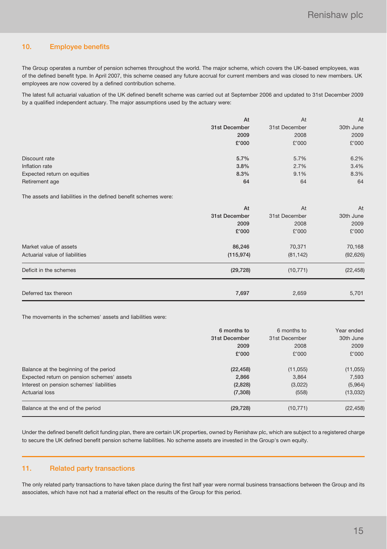#### 10. Employee benefits

The Group operates a number of pension schemes throughout the world. The major scheme, which covers the UK-based employees, was of the defined benefit type. In April 2007, this scheme ceased any future accrual for current members and was closed to new members. UK employees are now covered by a defined contribution scheme.

The latest full actuarial valuation of the UK defined benefit scheme was carried out at September 2006 and updated to 31st December 2009 by a qualified independent actuary. The major assumptions used by the actuary were:

|                             | At            | At            | At        |
|-----------------------------|---------------|---------------|-----------|
|                             | 31st December | 31st December | 30th June |
|                             | 2009          | 2008          | 2009      |
|                             | £'000         | £'000         | £'000     |
|                             |               |               |           |
| Discount rate               | 5.7%          | 5.7%          | 6.2%      |
| Inflation rate              | 3.8%          | 2.7%          | 3.4%      |
| Expected return on equities | 8.3%          | 9.1%          | 8.3%      |
| Retirement age              | 64            | 64            | 64        |

The assets and liabilities in the defined benefit schemes were:

|                                | At            | At            | At        |
|--------------------------------|---------------|---------------|-----------|
|                                | 31st December | 31st December | 30th June |
|                                | 2009          | 2008          | 2009      |
|                                | £'000         | £'000         | £'000     |
| Market value of assets         | 86,246        | 70,371        | 70,168    |
| Actuarial value of liabilities | (115, 974)    | (81, 142)     | (92, 626) |
| Deficit in the schemes         | (29, 728)     | (10, 771)     | (22, 458) |
|                                |               |               |           |
| Deferred tax thereon           | 7,697         | 2,659         | 5,701     |

The movements in the schemes' assets and liabilities were:

|                                            | 6 months to   |               | Year ended |
|--------------------------------------------|---------------|---------------|------------|
|                                            | 31st December | 31st December | 30th June  |
|                                            | 2009          | 2008          | 2009       |
|                                            | £'000         | £'000         | £'000      |
| Balance at the beginning of the period     | (22, 458)     | (11, 055)     | (11, 055)  |
| Expected return on pension schemes' assets | 2,866         | 3,864         | 7,593      |
| Interest on pension schemes' liabilities   | (2,828)       | (3,022)       | (5,964)    |
| <b>Actuarial loss</b>                      | (7,308)       | (558)         | (13,032)   |
| Balance at the end of the period           | (29, 728)     | (10, 771)     | (22, 458)  |

Under the defined benefit deficit funding plan, there are certain UK properties, owned by Renishaw plc, which are subject to a registered charge to secure the UK defined benefit pension scheme liabilities. No scheme assets are invested in the Group's own equity.

#### 11. Related party transactions

The only related party transactions to have taken place during the first half year were normal business transactions between the Group and its associates, which have not had a material effect on the results of the Group for this period.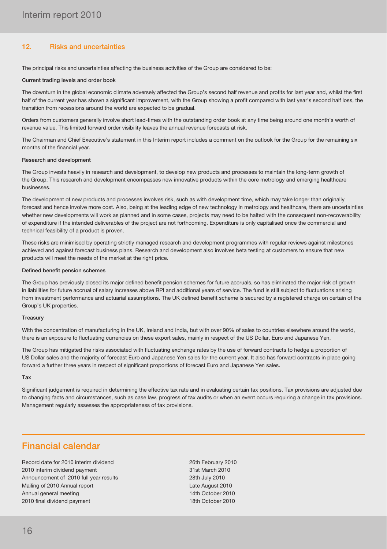#### 12. Risks and uncertainties

The principal risks and uncertainties affecting the business activities of the Group are considered to be:

#### Current trading levels and order book

The downturn in the global economic climate adversely affected the Group's second half revenue and profits for last year and, whilst the first half of the current year has shown a significant improvement, with the Group showing a profit compared with last year's second half loss, the transition from recessions around the world are expected to be gradual.

Orders from customers generally involve short lead-times with the outstanding order book at any time being around one month's worth of revenue value. This limited forward order visibility leaves the annual revenue forecasts at risk.

The Chairman and Chief Executive's statement in this Interim report includes a comment on the outlook for the Group for the remaining six months of the financial year.

#### Research and development

The Group invests heavily in research and development, to develop new products and processes to maintain the long-term growth of the Group. This research and development encompasses new innovative products within the core metrology and emerging healthcare businesses.

The development of new products and processes involves risk, such as with development time, which may take longer than originally forecast and hence involve more cost. Also, being at the leading edge of new technology in metrology and healthcare, there are uncertainties whether new developments will work as planned and in some cases, projects may need to be halted with the consequent non-recoverability of expenditure if the intended deliverables of the project are not forthcoming. Expenditure is only capitalised once the commercial and technical feasibility of a product is proven.

These risks are minimised by operating strictly managed research and development programmes with regular reviews against milestones achieved and against forecast business plans. Research and development also involves beta testing at customers to ensure that new products will meet the needs of the market at the right price.

#### Defined benefit pension schemes

The Group has previously closed its major defined benefit pension schemes for future accruals, so has eliminated the major risk of growth in liabilities for future accrual of salary increases above RPI and additional years of service. The fund is still subject to fluctuations arising from investment performance and actuarial assumptions. The UK defined benefit scheme is secured by a registered charge on certain of the Group's UK properties.

#### **Treasury**

With the concentration of manufacturing in the UK, Ireland and India, but with over 90% of sales to countries elsewhere around the world, there is an exposure to fluctuating currencies on these export sales, mainly in respect of the US Dollar, Euro and Japanese Yen.

The Group has mitigated the risks associated with fluctuating exchange rates by the use of forward contracts to hedge a proportion of US Dollar sales and the majority of forecast Euro and Japanese Yen sales for the current year. It also has forward contracts in place going forward a further three years in respect of significant proportions of forecast Euro and Japanese Yen sales.

#### Tax

Significant judgement is required in determining the effective tax rate and in evaluating certain tax positions. Tax provisions are adjusted due to changing facts and circumstances, such as case law, progress of tax audits or when an event occurs requiring a change in tax provisions. Management regularly assesses the appropriateness of tax provisions.

### Financial calendar

Record date for 2010 interim dividend 2000 26th February 2010 2010 interim dividend payment 31st March 2010 Announcement of 2010 full year results 28th July 2010 Mailing of 2010 Annual report **Late August 2010** Annual general meeting 14th October 2010 2010 final dividend payment 18th October 2010